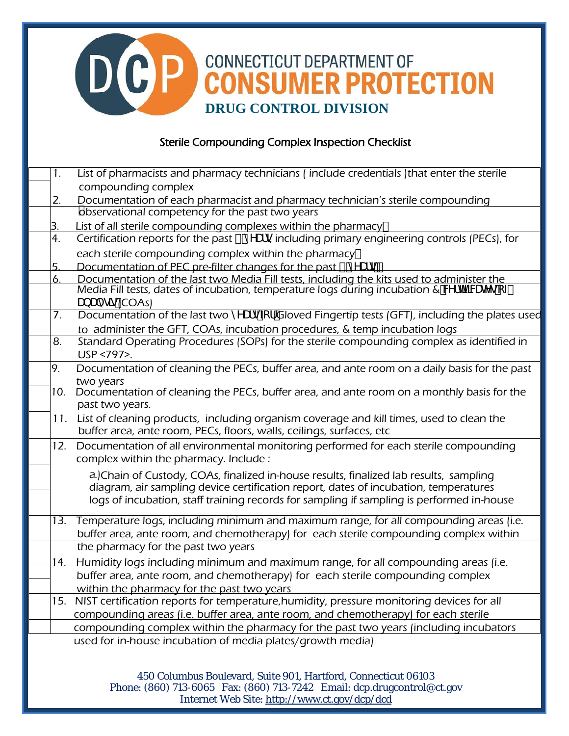## **DCP CONNECTICUT DEPARTMENT OF CONSUMER PROTECTION DRUG CONTROL DIVISION**

## Sterile Compounding Complex Inspection Checklist

| 1.  | List of pharmacists and pharmacy technicians (include credentials ) that enter the sterile                                                                                                         |
|-----|----------------------------------------------------------------------------------------------------------------------------------------------------------------------------------------------------|
|     | compounding complex                                                                                                                                                                                |
| 2.  | Documentation of each pharmacist and pharmacy technician's sterile compounding                                                                                                                     |
|     | observational competency for the past two years                                                                                                                                                    |
| 3.  | List of all sterile compounding complexes within the pharmacy"                                                                                                                                     |
| 4.  | Certification reports for the past & m'Ufg including primary engineering controls (PECs), for                                                                                                      |
|     | each sterile compounding complex within the pharmacy"                                                                                                                                              |
| 5.  | Documentation of PEC pre-filter changes for the past & m'Ufg"                                                                                                                                      |
| 6.  | Documentation of the last two Media Fill tests, including the kits used to administer the<br>Media Fill tests, dates of incubation, temperature logs during incubation & Wfh <mark>Z</mark> WINgcZ |
|     |                                                                                                                                                                                                    |
|     | UbU'mg]g(COAs)                                                                                                                                                                                     |
| 7.  | Documentation of the last two m Ufg Z f Gloved Fingertip tests (GFT), including the plates used                                                                                                    |
|     | to administer the GFT, COAs, incubation procedures, & temp incubation logs                                                                                                                         |
| 8.  | Standard Operating Procedures (SOPs) for the sterile compounding complex as identified in                                                                                                          |
|     | USP <797>.                                                                                                                                                                                         |
| 9.  | Documentation of cleaning the PECs, buffer area, and ante room on a daily basis for the past                                                                                                       |
|     | two years                                                                                                                                                                                          |
| 10. | Documentation of cleaning the PECs, buffer area, and ante room on a monthly basis for the                                                                                                          |
|     | past two years.                                                                                                                                                                                    |
| 11. | List of cleaning products, including organism coverage and kill times, used to clean the                                                                                                           |
|     | buffer area, ante room, PECs, floors, walls, ceilings, surfaces, etc                                                                                                                               |
| 12. | Documentation of all environmental monitoring performed for each sterile compounding                                                                                                               |
|     | complex within the pharmacy. Include:                                                                                                                                                              |
|     | a. Chain of Custody, COAs, finalized in-house results, finalized lab results, sampling                                                                                                             |
|     | diagram, air sampling device certification report, dates of incubation, temperatures                                                                                                               |
|     | logs of incubation, staff training records for sampling if sampling is performed in-house                                                                                                          |
|     | 13. Temperature logs, including minimum and maximum range, for all compounding areas (i.e.                                                                                                         |
|     | buffer area, ante room, and chemotherapy) for each sterile compounding complex within                                                                                                              |
|     | the pharmacy for the past two years                                                                                                                                                                |
| 14. | Humidity logs including minimum and maximum range, for all compounding areas (i.e.                                                                                                                 |
|     | buffer area, ante room, and chemotherapy) for each sterile compounding complex                                                                                                                     |
|     | within the pharmacy for the past two years                                                                                                                                                         |
| 15. | NIST certification reports for temperature, humidity, pressure monitoring devices for all                                                                                                          |
|     | compounding areas (i.e. buffer area, ante room, and chemotherapy) for each sterile                                                                                                                 |
|     | compounding complex within the pharmacy for the past two years (including incubators                                                                                                               |
|     | used for in-house incubation of media plates/growth media)                                                                                                                                         |
|     |                                                                                                                                                                                                    |
|     |                                                                                                                                                                                                    |

450 Columbus Boulevard, Suite 901, Hartford, Connecticut 06103 Phone: (860) 713-6065 Fax: (860) 713-7242 Email: dcp.drugcontrol@ct.gov Internet Web Site: http://www.ct.gov/dcp/dcd